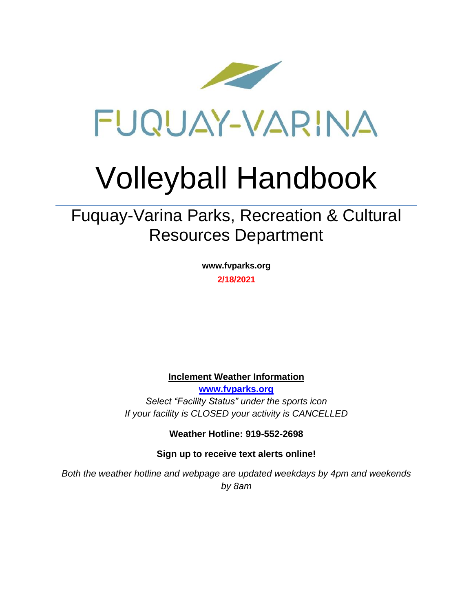

# Volleyball Handbook

Fuquay-Varina Parks, Recreation & Cultural Resources Department

> **www.fvparks.org 2/18/2021**

**Inclement Weather Information**

**[www.fvparks.org](http://www.fvparks.org/)** *Select "Facility Status" under the sports icon If your facility is CLOSED your activity is CANCELLED*

**Weather Hotline: 919-552-2698**

**Sign up to receive text alerts online!**

*Both the weather hotline and webpage are updated weekdays by 4pm and weekends by 8am*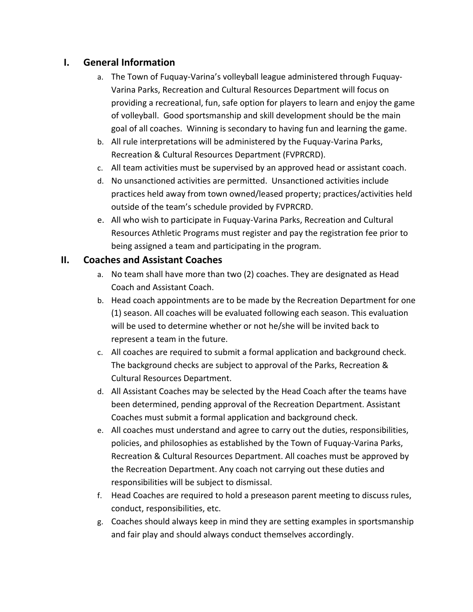# **I. General Information**

- a. The Town of Fuquay-Varina's volleyball league administered through Fuquay-Varina Parks, Recreation and Cultural Resources Department will focus on providing a recreational, fun, safe option for players to learn and enjoy the game of volleyball. Good sportsmanship and skill development should be the main goal of all coaches. Winning is secondary to having fun and learning the game.
- b. All rule interpretations will be administered by the Fuquay-Varina Parks, Recreation & Cultural Resources Department (FVPRCRD).
- c. All team activities must be supervised by an approved head or assistant coach.
- d. No unsanctioned activities are permitted. Unsanctioned activities include practices held away from town owned/leased property; practices/activities held outside of the team's schedule provided by FVPRCRD.
- e. All who wish to participate in Fuquay-Varina Parks, Recreation and Cultural Resources Athletic Programs must register and pay the registration fee prior to being assigned a team and participating in the program.

## **II. Coaches and Assistant Coaches**

- a. No team shall have more than two (2) coaches. They are designated as Head Coach and Assistant Coach.
- b. Head coach appointments are to be made by the Recreation Department for one (1) season. All coaches will be evaluated following each season. This evaluation will be used to determine whether or not he/she will be invited back to represent a team in the future.
- c. All coaches are required to submit a formal application and background check. The background checks are subject to approval of the Parks, Recreation & Cultural Resources Department.
- d. All Assistant Coaches may be selected by the Head Coach after the teams have been determined, pending approval of the Recreation Department. Assistant Coaches must submit a formal application and background check.
- e. All coaches must understand and agree to carry out the duties, responsibilities, policies, and philosophies as established by the Town of Fuquay-Varina Parks, Recreation & Cultural Resources Department. All coaches must be approved by the Recreation Department. Any coach not carrying out these duties and responsibilities will be subject to dismissal.
- f. Head Coaches are required to hold a preseason parent meeting to discuss rules, conduct, responsibilities, etc.
- g. Coaches should always keep in mind they are setting examples in sportsmanship and fair play and should always conduct themselves accordingly.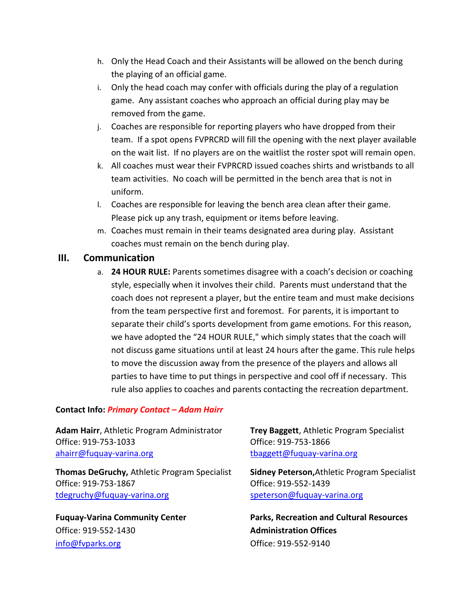- h. Only the Head Coach and their Assistants will be allowed on the bench during the playing of an official game.
- i. Only the head coach may confer with officials during the play of a regulation game. Any assistant coaches who approach an official during play may be removed from the game.
- j. Coaches are responsible for reporting players who have dropped from their team. If a spot opens FVPRCRD will fill the opening with the next player available on the wait list. If no players are on the waitlist the roster spot will remain open.
- k. All coaches must wear their FVPRCRD issued coaches shirts and wristbands to all team activities. No coach will be permitted in the bench area that is not in uniform.
- l. Coaches are responsible for leaving the bench area clean after their game. Please pick up any trash, equipment or items before leaving.
- m. Coaches must remain in their teams designated area during play. Assistant coaches must remain on the bench during play.

#### **III. Communication**

a. **24 HOUR RULE:** Parents sometimes disagree with a coach's decision or coaching style, especially when it involves their child. Parents must understand that the coach does not represent a player, but the entire team and must make decisions from the team perspective first and foremost. For parents, it is important to separate their child's sports development from game emotions. For this reason, we have adopted the "24 HOUR RULE," which simply states that the coach will not discuss game situations until at least 24 hours after the game. This rule helps to move the discussion away from the presence of the players and allows all parties to have time to put things in perspective and cool off if necessary. This rule also applies to coaches and parents contacting the recreation department.

#### **Contact Info:** *Primary Contact – Adam Hairr*

**Adam Hairr**, Athletic Program Administrator **Trey Baggett**, Athletic Program Specialist Office: 919-753-1033 Office: 919-753-1866 [ahairr@fuquay-varina.org](mailto:ahairr@fuquay-varina.org) distribution to the end of the three to the end of the state of the end of the state o

**Thomas DeGruchy,** Athletic Program Specialist **Sidney Peterson,**Athletic Program Specialist Office: 919-753-1867 Office: 919-552-1439 [tdegruchy@fuquay-varina.org](mailto:tdegruchy@fuquay-varina.org) [speterson@fuquay-varina.org](mailto:speterson@fuquay-varina.org)

Office: 919-552-1430 **Administration Offices**  $\frac{1}{100}$  [info@fvparks.org](mailto:info@fvparks.org)  $\frac{1}{100}$  and  $\frac{1}{100}$  and  $\frac{1}{100}$  and  $\frac{1}{100}$  and  $\frac{1}{100}$  and  $\frac{1}{100}$  and  $\frac{1}{100}$  and  $\frac{1}{100}$  and  $\frac{1}{100}$  and  $\frac{1}{100}$  and  $\frac{1}{100}$  and  $\frac{1}{100}$  and

**Fuquay-Varina Community Center Parks, Recreation and Cultural Resources**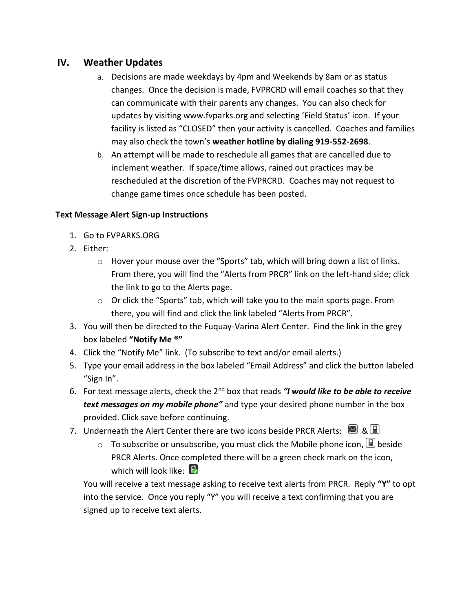## **IV. Weather Updates**

- a. Decisions are made weekdays by 4pm and Weekends by 8am or as status changes. Once the decision is made, FVPRCRD will email coaches so that they can communicate with their parents any changes. You can also check for updates by visiting www.fvparks.org and selecting 'Field Status' icon. If your facility is listed as "CLOSED" then your activity is cancelled. Coaches and families may also check the town's **weather hotline by dialing 919-552-2698**.
- b. An attempt will be made to reschedule all games that are cancelled due to inclement weather. If space/time allows, rained out practices may be rescheduled at the discretion of the FVPRCRD. Coaches may not request to change game times once schedule has been posted.

#### **Text Message Alert Sign-up Instructions**

- 1. Go to FVPARKS.ORG
- 2. Either:
	- o Hover your mouse over the "Sports" tab, which will bring down a list of links. From there, you will find the "Alerts from PRCR" link on the left-hand side; click the link to go to the Alerts page.
	- o Or click the "Sports" tab, which will take you to the main sports page. From there, you will find and click the link labeled "Alerts from PRCR".
- 3. You will then be directed to the Fuquay-Varina Alert Center. Find the link in the grey box labeled **"Notify Me ®"**
- 4. Click the "Notify Me" link. (To subscribe to text and/or email alerts.)
- 5. Type your email address in the box labeled "Email Address" and click the button labeled "Sign In".
- 6. For text message alerts, check the 2nd box that reads *"I would like to be able to receive text messages on my mobile phone"* and type your desired phone number in the box provided. Click save before continuing.
- 7. Underneath the Alert Center there are two icons beside PRCR Alerts:  $\blacksquare$  &  $\blacksquare$ 
	- $\circ$  To subscribe or unsubscribe, you must click the Mobile phone icon,  $\boxplus$  beside PRCR Alerts. Once completed there will be a green check mark on the icon, which will look like:  $\mathbb{E}$

You will receive a text message asking to receive text alerts from PRCR. Reply **"Y"** to opt into the service. Once you reply "Y" you will receive a text confirming that you are signed up to receive text alerts.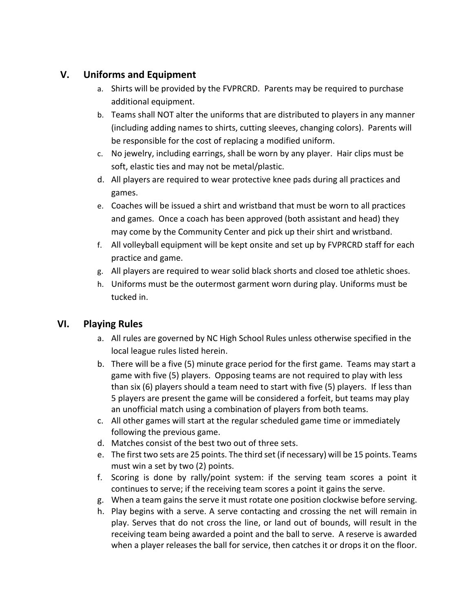# **V. Uniforms and Equipment**

- a. Shirts will be provided by the FVPRCRD. Parents may be required to purchase additional equipment.
- b. Teams shall NOT alter the uniforms that are distributed to players in any manner (including adding names to shirts, cutting sleeves, changing colors). Parents will be responsible for the cost of replacing a modified uniform.
- c. No jewelry, including earrings, shall be worn by any player. Hair clips must be soft, elastic ties and may not be metal/plastic.
- d. All players are required to wear protective knee pads during all practices and games.
- e. Coaches will be issued a shirt and wristband that must be worn to all practices and games. Once a coach has been approved (both assistant and head) they may come by the Community Center and pick up their shirt and wristband.
- f. All volleyball equipment will be kept onsite and set up by FVPRCRD staff for each practice and game.
- g. All players are required to wear solid black shorts and closed toe athletic shoes.
- h. Uniforms must be the outermost garment worn during play. Uniforms must be tucked in.

# **VI. Playing Rules**

- a. All rules are governed by NC High School Rules unless otherwise specified in the local league rules listed herein.
- b. There will be a five (5) minute grace period for the first game. Teams may start a game with five (5) players. Opposing teams are not required to play with less than six (6) players should a team need to start with five (5) players. If less than 5 players are present the game will be considered a forfeit, but teams may play an unofficial match using a combination of players from both teams.
- c. All other games will start at the regular scheduled game time or immediately following the previous game.
- d. Matches consist of the best two out of three sets.
- e. The first two sets are 25 points. The third set (if necessary) will be 15 points. Teams must win a set by two (2) points.
- f. Scoring is done by rally/point system: if the serving team scores a point it continues to serve; if the receiving team scores a point it gains the serve.
- g. When a team gains the serve it must rotate one position clockwise before serving.
- h. Play begins with a serve. A serve contacting and crossing the net will remain in play. Serves that do not cross the line, or land out of bounds, will result in the receiving team being awarded a point and the ball to serve. A reserve is awarded when a player releases the ball for service, then catches it or drops it on the floor.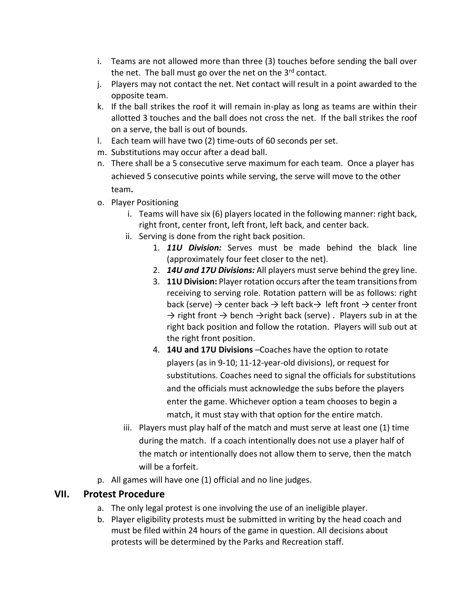- i. Teams are not allowed more than three (3) touches before sending the ball over the net. The ball must go over the net on the  $3<sup>rd</sup>$  contact.
- j. Players may not contact the net. Net contact will result in a point awarded to the opposite team.
- k. If the ball strikes the roof it will remain in-play as long as teams are within their allotted 3 touches and the ball does not cross the net. If the ball strikes the roof on a serve, the ball is out of bounds.
- l. Each team will have two (2) time-outs of 60 seconds per set.
- m. Substitutions may occur after a dead ball.
- n. There shall be a 5 consecutive serve maximum for each team. Once a player has achieved 5 consecutive points while serving, the serve will move to the other team**.**
- o. Player Positioning
	- i. Teams will have six (6) players located in the following manner: right back, right front, center front, left front, left back, and center back.
	- ii. Serving is done from the right back position.
		- 1. *11U Division:* Serves must be made behind the black line (approximately four feet closer to the net).
		- 2. *14U and 17U Divisions:* All players must serve behind the grey line.
		- 3. **11U Division:** Player rotation occurs after the team transitions from receiving to serving role. Rotation pattern will be as follows: right back (serve)  $\rightarrow$  center back  $\rightarrow$  left back $\rightarrow$  left front  $\rightarrow$  center front  $\rightarrow$  right front  $\rightarrow$  bench  $\rightarrow$  right back (serve). Players sub in at the right back position and follow the rotation. Players will sub out at the right front position.
		- 4. **14U and 17U Divisions** –Coaches have the option to rotate players (as in 9-10; 11-12-year-old divisions), or request for substitutions. Coaches need to signal the officials for substitutions and the officials must acknowledge the subs before the players enter the game. Whichever option a team chooses to begin a match, it must stay with that option for the entire match.
	- iii. Players must play half of the match and must serve at least one (1) time during the match. If a coach intentionally does not use a player half of the match or intentionally does not allow them to serve, then the match will be a forfeit.
- p. All games will have one (1) official and no line judges.

## **VII. Protest Procedure**

- a. The only legal protest is one involving the use of an ineligible player.
- b. Player eligibility protests must be submitted in writing by the head coach and must be filed within 24 hours of the game in question. All decisions about protests will be determined by the Parks and Recreation staff.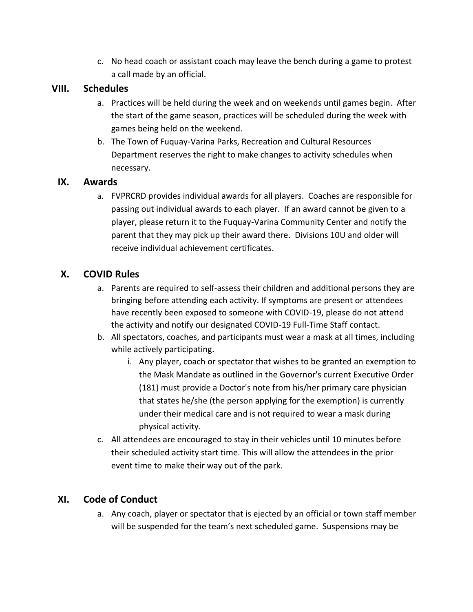c. No head coach or assistant coach may leave the bench during a game to protest a call made by an official.

### **VIII. Schedules**

- a. Practices will be held during the week and on weekends until games begin. After the start of the game season, practices will be scheduled during the week with games being held on the weekend.
- b. The Town of Fuquay-Varina Parks, Recreation and Cultural Resources Department reserves the right to make changes to activity schedules when necessary.

## **IX. Awards**

a. FVPRCRD provides individual awards for all players. Coaches are responsible for passing out individual awards to each player. If an award cannot be given to a player, please return it to the Fuquay-Varina Community Center and notify the parent that they may pick up their award there. Divisions 10U and older will receive individual achievement certificates.

## **X. COVID Rules**

- a. Parents are required to self-assess their children and additional persons they are bringing before attending each activity. If symptoms are present or attendees have recently been exposed to someone with COVID-19, please do not attend the activity and notify our designated COVID-19 Full-Time Staff contact.
- b. All spectators, coaches, and participants must wear a mask at all times, including while actively participating.
	- i. Any player, coach or spectator that wishes to be granted an exemption to the Mask Mandate as outlined in the Governor's current Executive Order (181) must provide a Doctor's note from his/her primary care physician that states he/she (the person applying for the exemption) is currently under their medical care and is not required to wear a mask during physical activity.
- c. All attendees are encouraged to stay in their vehicles until 10 minutes before their scheduled activity start time. This will allow the attendees in the prior event time to make their way out of the park.

## **XI. Code of Conduct**

a. Any coach, player or spectator that is ejected by an official or town staff member will be suspended for the team's next scheduled game. Suspensions may be